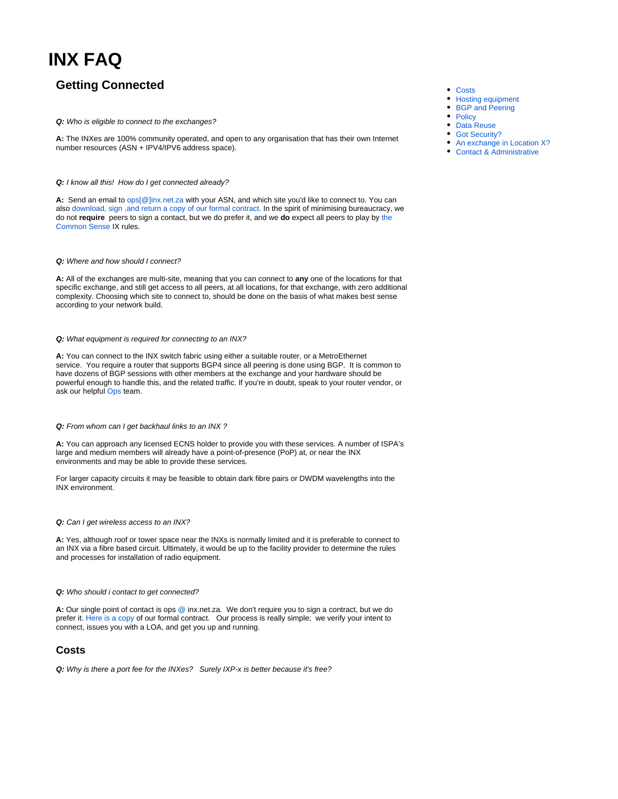# **INX FAQ**

# **Getting Connected**

### **Q:** Who is eligible to connect to the exchanges?

**A:** The INXes are 100% community operated, and open to any organisation that has their own Internet number resources (ASN + IPV4/IPV6 address space).

### **Q:** I know all this! How do I get connected already?

**A:** Send an email to [ops\[@\]inx.net.za](mailto:ops@inx.net.za) with your ASN, and which site you'd like to connect to. You can also [download, sign ,and return a copy of our formal contract.](https://www.inx.net.za/download/attachments/2064570/INX-ZA%20Agreement.pdf?version=2&modificationDate=1603453368000&api=v2) In the spirit of minimising bureaucracy, we do not **require** peers to sign a contact, but we do prefer it, and we **do** expect all peers to play by [the](https://www.inx.net.za/display/pub/Policy)  [Common Sense](https://www.inx.net.za/display/pub/Policy) IX rules.

### **Q:** Where and how should I connect?

**A:** All of the exchanges are multi-site, meaning that you can connect to **any** one of the locations for that specific exchange, and still get access to all peers, at all locations, for that exchange, with zero additional complexity. Choosing which site to connect to, should be done on the basis of what makes best sense according to your network build.

### **Q:** What equipment is required for connecting to an INX?

**A:** You can connect to the INX switch fabric using either a suitable router, or a MetroEthernet service. You require a router that supports BGP4 since all peering is done using BGP. It is common to have dozens of BGP sessions with other members at the exchange and your hardware should be powerful enough to handle this, and the related traffic. If you're in doubt, speak to your router vendor, or ask our helpful [Ops](mailto:ops@inx.net.za) team.

### **Q:** From whom can I get backhaul links to an INX ?

**A:** You can approach any licensed ECNS holder to provide you with these services. A number of ISPA's large and medium members will already have a point-of-presence (PoP) at, or near the INX environments and may be able to provide these services.

For larger capacity circuits it may be feasible to obtain dark fibre pairs or DWDM wavelengths into the INX environment.

### **Q:** Can I get wireless access to an INX?

**A:** Yes, although roof or tower space near the INXs is normally limited and it is preferable to connect to an INX via a fibre based circuit. Ultimately, it would be up to the facility provider to determine the rules and processes for installation of radio equipment.

### **Q:** Who should i contact to get connected?

**A:** Our single point of contact is ops @ inx.net.za. We don't require you to sign a contract, but we do prefer it. [Here is a copy](https://www.inx.net.za/download/attachments/2064570/INX-ZA%20Agreement.pdf?version=2&modificationDate=1603453368000&api=v2) of our formal contract. Our process is really simple; we verify your intent to connect, issues you with a LOA, and get you up and running.

### <span id="page-0-0"></span>**Costs**

**Q:** Why is there a port fee for the INXes? Surely IXP-x is better because it's free?

- [Costs](#page-0-0)
- $\bullet$ [Hosting equipment](#page-2-0)
- [BGP and Peering](#page-2-1)
- [Policy](#page-2-2)
- [Data Reuse](#page-3-0)
- [Got Security?](#page-3-1)
- [An exchange in Location X?](#page-3-2)
- [Contact & Administrative](#page-4-0)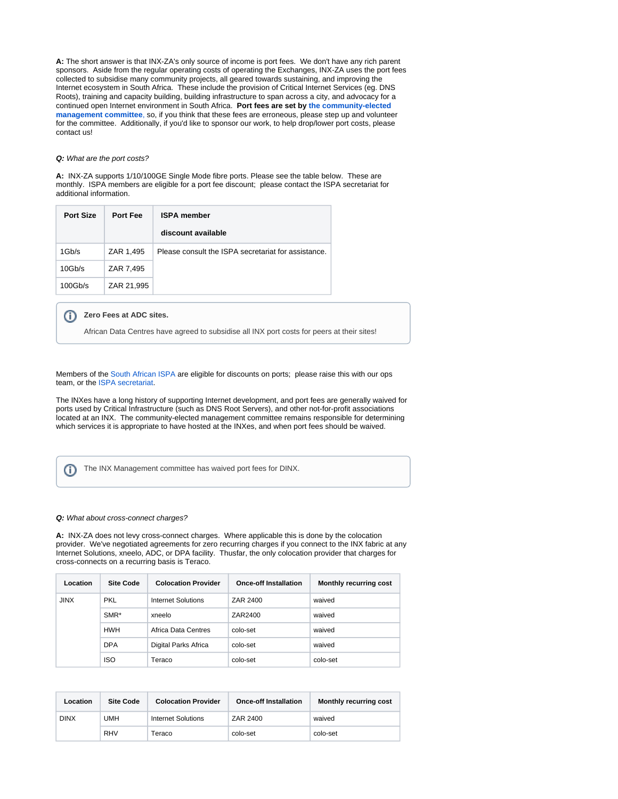**A:** The short answer is that INX-ZA's only source of income is port fees. We don't have any rich parent sponsors. Aside from the regular operating costs of operating the Exchanges, INX-ZA uses the port fees collected to subsidise many community projects, all geared towards sustaining, and improving the Internet ecosystem in South Africa. These include the provision of Critical Internet Services (eg. DNS Roots), training and capacity building, building infrastructure to span across a city, and advocacy for a continued open Internet environment in South Africa. **Port fees are set by [the community-elected](https://www.inx.net.za/pages/viewpage.action?pageId=2064488)  [management committee](https://www.inx.net.za/pages/viewpage.action?pageId=2064488)**, so, if you think that these fees are erroneous, please step up and volunteer for the committee. Additionally, if you'd like to sponsor our work, to help drop/lower port costs, please contact us!

### **Q:** What are the port costs?

**A:** INX-ZA supports 1/10/100GE Single Mode fibre ports. Please see the table below. These are monthly. ISPA members are eligible for a port fee discount; please contact the ISPA secretariat for additional information.

| <b>Port Size</b> | <b>Port Fee</b> | <b>ISPA member</b>                                  |  |
|------------------|-----------------|-----------------------------------------------------|--|
|                  |                 | discount available                                  |  |
| 1Gb/s            | ZAR 1,495       | Please consult the ISPA secretariat for assistance. |  |
| 10Gb/s           | ZAR 7,495       |                                                     |  |
| 100Gb/s          | ZAR 21,995      |                                                     |  |

#### **Zero Fees at ADC sites.** O)

African Data Centres have agreed to subsidise all INX port costs for peers at their sites!

Members of the [South African ISPA](http://www.ispa.org.za) are eligible for discounts on ports; please raise this with our ops team, or the [ISPA secretariat.](mailto:secretariat@ispa.org.za)

The INXes have a long history of supporting Internet development, and port fees are generally waived for ports used by Critical Infrastructure (such as DNS Root Servers), and other not-for-profit associations located at an INX. The community-elected management committee remains responsible for determining which services it is appropriate to have hosted at the INXes, and when port fees should be waived.

The INX Management committee has waived port fees for DINX.O)

#### **Q:** What about cross-connect charges?

**A:** INX-ZA does not levy cross-connect charges. Where applicable this is done by the colocation provider. We've negotiated agreements for zero recurring charges if you connect to the INX fabric at any Internet Solutions, xneelo, ADC, or DPA facility. Thusfar, the only colocation provider that charges for cross-connects on a recurring basis is Teraco.

| Location    | <b>Site Code</b> | <b>Colocation Provider</b> | <b>Once-off Installation</b> | <b>Monthly recurring cost</b> |
|-------------|------------------|----------------------------|------------------------------|-------------------------------|
| <b>JINX</b> | <b>PKL</b>       | Internet Solutions         | ZAR 2400                     | waived                        |
|             | $SMR*$           | xneelo                     | ZAR2400                      | waived                        |
|             | <b>HWH</b>       | Africa Data Centres        | colo-set                     | waived                        |
|             | <b>DPA</b>       | Digital Parks Africa       | colo-set                     | waived                        |
|             | <b>ISO</b>       | Teraco                     | colo-set                     | colo-set                      |

| Location    | <b>Site Code</b> | <b>Colocation Provider</b> | <b>Once-off Installation</b> | <b>Monthly recurring cost</b> |
|-------------|------------------|----------------------------|------------------------------|-------------------------------|
| <b>DINX</b> | JMH              | <b>Internet Solutions</b>  | ZAR 2400                     | waived                        |
|             | <b>RHV</b>       | Teraco                     | colo-set                     | colo-set                      |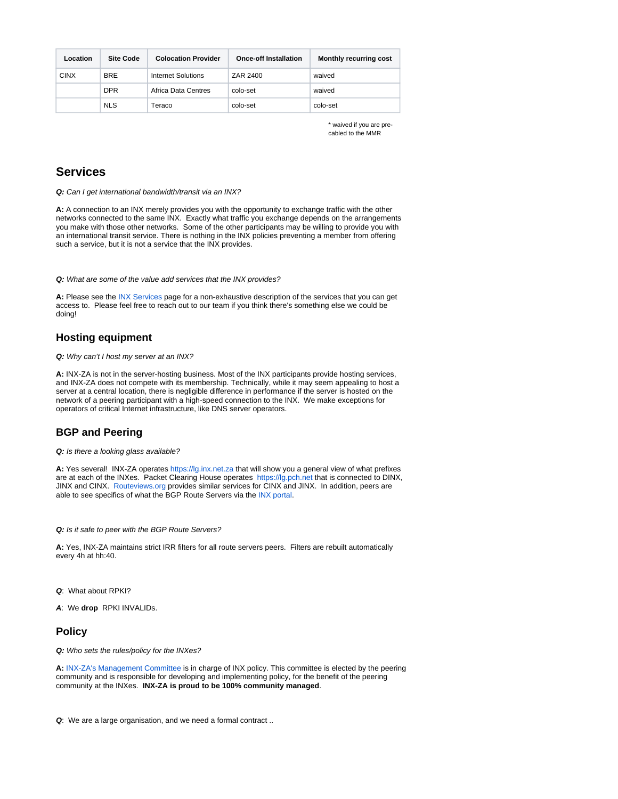| Location    | <b>Site Code</b> | <b>Colocation Provider</b> | <b>Once-off Installation</b> | <b>Monthly recurring cost</b> |
|-------------|------------------|----------------------------|------------------------------|-------------------------------|
| <b>CINX</b> | <b>BRE</b>       | Internet Solutions         | ZAR 2400                     | waived                        |
|             | <b>DPR</b>       | Africa Data Centres        | colo-set                     | waived                        |
|             | <b>NLS</b>       | Teraco                     | colo-set                     | colo-set                      |

\* waived if you are precabled to the MMR

# **Services**

**Q:** Can I get international bandwidth/transit via an INX?

**A:** A connection to an INX merely provides you with the opportunity to exchange traffic with the other networks connected to the same INX. Exactly what traffic you exchange depends on the arrangements you make with those other networks. Some of the other participants may be willing to provide you with an international transit service. There is nothing in the INX policies preventing a member from offering such a service, but it is not a service that the INX provides.

### **Q:** What are some of the value add services that the INX provides?

**A:** Please see the [INX Services](https://www.inx.net.za/display/pub/INX+Services) page for a non-exhaustive description of the services that you can get access to. Please feel free to reach out to our team if you think there's something else we could be doing!

# <span id="page-2-0"></span>**Hosting equipment**

**Q:** Why can't I host my server at an INX?

**A:** INX-ZA is not in the server-hosting business. Most of the INX participants provide hosting services, and INX-ZA does not compete with its membership. Technically, while it may seem appealing to host a server at a central location, there is negligible difference in performance if the server is hosted on the network of a peering participant with a high-speed connection to the INX. We make exceptions for operators of critical Internet infrastructure, like DNS server operators.

# <span id="page-2-1"></span>**BGP and Peering**

### **Q:** Is there a looking glass available?

**A:** Yes several! INX-ZA operates <https://lg.inx.net.za> that will show you a general view of what prefixes are at each of the INXes. Packet Clearing House operates <https://lg.pch.net>that is connected to DINX, JINX and CINX. [Routeviews.org](http://www.routeviews.org) provides similar services for CINX and JINX. In addition, peers are able to see specifics of what the BGP Route Servers via the [INX portal](https://portal.inx.net.za/lg).

### **Q:** Is it safe to peer with the BGP Route Servers?

**A:** Yes, INX-ZA maintains strict IRR filters for all route servers peers. Filters are rebuilt automatically every 4h at hh:40.

### **Q**: What about RPKI?

**A**: We **drop** RPKI INVALIDs.

## <span id="page-2-2"></span>**Policy**

**Q:** Who sets the rules/policy for the INXes?

**A:** [INX-ZA's Management Committee](https://www.inx.net.za/display/pub/INX+Committee) is in charge of INX policy. This committee is elected by the peering community and is responsible for developing and implementing policy, for the benefit of the peering community at the INXes. **INX-ZA is proud to be 100% community managed**.

**Q**: We are a large organisation, and we need a formal contract ..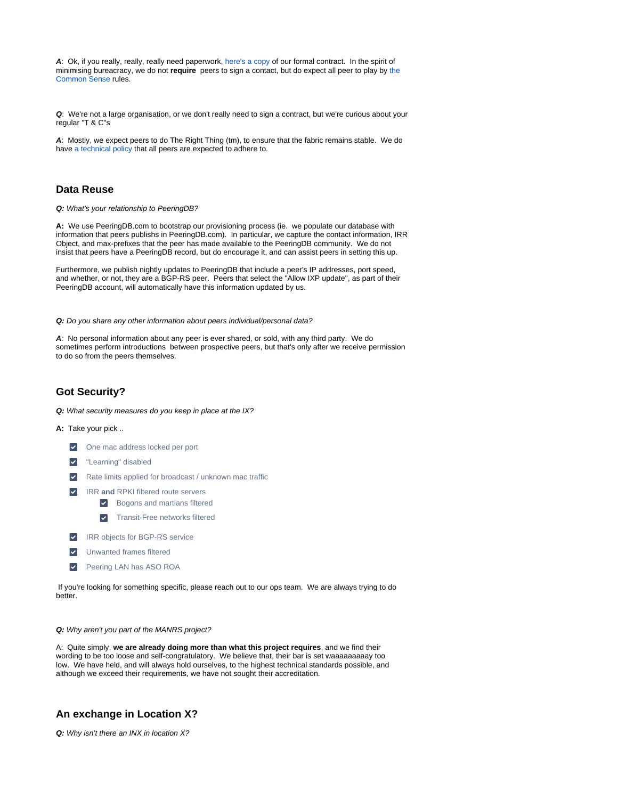**A**: Ok, if you really, really, really need paperwork, [here's a copy](https://www.inx.net.za/download/attachments/2064570/INX-ZA%20Agreement.pdf?version=2&modificationDate=1603453368000&api=v2) of our formal contract. In the spirit of minimising bureacracy, we do not **require** peers to sign a contact, but do expect all peer to play by [the](https://www.inx.net.za/display/pub/Policy)  [Common Sense](https://www.inx.net.za/display/pub/Policy) rules.

**Q**: We're not a large organisation, or we don't really need to sign a contract, but we're curious about your regular "T & C"s

**A**: Mostly, we expect peers to do The Right Thing (tm), to ensure that the fabric remains stable. We do have [a technical policy](https://www.inx.net.za/display/pub/Technical+Policy) that all peers are expected to adhere to.

# <span id="page-3-0"></span>**Data Reuse**

**Q:** What's your relationship to PeeringDB?

**A:** We use PeeringDB.com to bootstrap our provisioning process (ie. we populate our database with information that peers publishs in PeeringDB.com). In particular, we capture the contact information, IRR Object, and max-prefixes that the peer has made available to the PeeringDB community. We do not insist that peers have a PeeringDB record, but do encourage it, and can assist peers in setting this up.

Furthermore, we publish nightly updates to PeeringDB that include a peer's IP addresses, port speed, and whether, or not, they are a BGP-RS peer. Peers that select the "Allow IXP update", as part of their PeeringDB account, will automatically have this information updated by us.

**Q:** Do you share any other information about peers individual/personal data?

**A**: No personal information about any peer is ever shared, or sold, with any third party. We do sometimes perform introductions between prospective peers, but that's only after we receive permission to do so from the peers themselves.

# <span id="page-3-1"></span>**Got Security?**

**Q:** What security measures do you keep in place at the IX?

**A:** Take your pick ..

 $\vert \bm{\downarrow} \vert$ 

- $\blacktriangledown$ One mac address locked per port
- $\overline{\mathbf{v}}$ "Learning" disabled
- Rate limits applied for broadcast / unknown mac traffic
	- IRR **and** RPKI filtered route servers
		- **Bogons and martians filtered**
		- **v** Transit-Free networks filtered
- $\blacktriangledown$ IRR objects for BGP-RS service
- $\overline{\mathbf{v}}$ Unwanted frames filtered
- $\vert \textcolor{red}{\bm{\checkmark}} \vert$ Peering LAN has ASO ROA

 If you're looking for something specific, please reach out to our ops team. We are always trying to do better.

**Q:** Why aren't you part of the MANRS project?

A: Quite simply, **we are already doing more than what this project requires**, and we find their wording to be too loose and self-congratulatory. We believe that, their bar is set waaaaaaaaay too low. We have held, and will always hold ourselves, to the highest technical standards possible, and although we exceed their requirements, we have not sought their accreditation.

## <span id="page-3-2"></span>**An exchange in Location X?**

**Q:** Why isn't there an INX in location X?